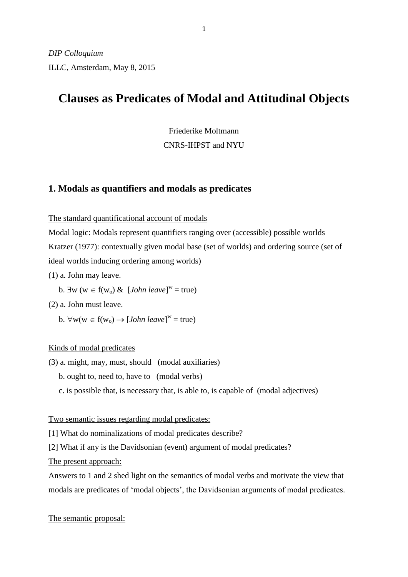# **Clauses as Predicates of Modal and Attitudinal Objects**

Friederike Moltmann CNRS-IHPST and NYU

## **1. Modals as quantifiers and modals as predicates**

The standard quantificational account of modals

Modal logic: Modals represent quantifiers ranging over (accessible) possible worlds Kratzer (1977): contextually given modal base (set of worlds) and ordering source (set of ideal worlds inducing ordering among worlds)

(1) a. John may leave.

b.  $\exists w (w \in f(w_0) \& [John \text{ leave}]^w = true)$ 

(2) a. John must leave.

b.  $\forall w(w \in f(w_0) \rightarrow [John \text{ leave}]^w = true)$ 

### Kinds of modal predicates

(3) a. might, may, must, should (modal auxiliaries)

b. ought to, need to, have to (modal verbs)

c. is possible that, is necessary that, is able to, is capable of (modal adjectives)

Two semantic issues regarding modal predicates:

[1] What do nominalizations of modal predicates describe?

[2] What if any is the Davidsonian (event) argument of modal predicates?

The present approach:

Answers to 1 and 2 shed light on the semantics of modal verbs and motivate the view that modals are predicates of 'modal objects', the Davidsonian arguments of modal predicates.

The semantic proposal: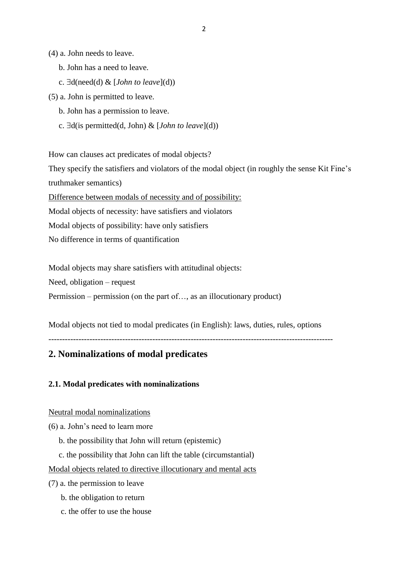(4) a. John needs to leave.

- b. John has a need to leave.
- c.  $\exists d(need(d) \& [John to leave](d))$
- (5) a. John is permitted to leave.
	- b. John has a permission to leave.
	- c.  $\exists d$ (is permitted(d, John) & [*John to leave*](d))

How can clauses act predicates of modal objects?

They specify the satisfiers and violators of the modal object (in roughly the sense Kit Fine's truthmaker semantics)

Difference between modals of necessity and of possibility:

Modal objects of necessity: have satisfiers and violators

Modal objects of possibility: have only satisfiers

No difference in terms of quantification

Modal objects may share satisfiers with attitudinal objects:

Need, obligation – request

Permission – permission (on the part of…, as an illocutionary product)

Modal objects not tied to modal predicates (in English): laws, duties, rules, options

--------------------------------------------------------------------------------------------------------

## **2. Nominalizations of modal predicates**

**2.1. Modal predicates with nominalizations**

#### Neutral modal nominalizations

- (6) a. John's need to learn more
	- b. the possibility that John will return (epistemic)
	- c. the possibility that John can lift the table (circumstantial)

#### Modal objects related to directive illocutionary and mental acts

(7) a. the permission to leave

- b. the obligation to return
- c. the offer to use the house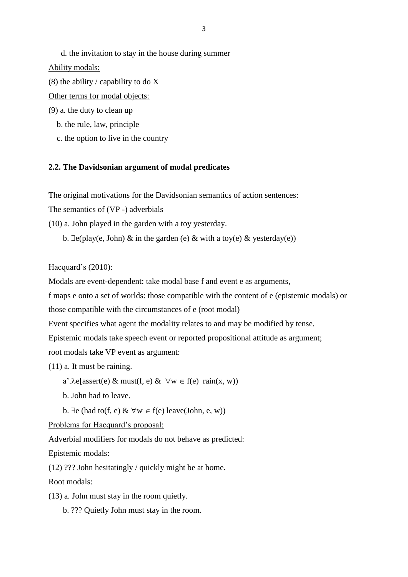d. the invitation to stay in the house during summer Ability modals:

(8) the ability / capability to do  $X$ 

Other terms for modal objects:

- (9) a. the duty to clean up
	- b. the rule, law, principle
	- c. the option to live in the country

#### **2.2. The Davidsonian argument of modal predicates**

The original motivations for the Davidsonian semantics of action sentences:

The semantics of (VP -) adverbials

(10) a. John played in the garden with a toy yesterday.

b.  $\exists e$ (play(e, John) & in the garden (e) & with a toy(e) & yesterday(e))

#### Hacquard's (2010):

Modals are event-dependent: take modal base f and event e as arguments,

f maps e onto a set of worlds: those compatible with the content of e (epistemic modals) or

those compatible with the circumstances of e (root modal)

Event specifies what agent the modality relates to and may be modified by tense.

Epistemic modals take speech event or reported propositional attitude as argument;

root modals take VP event as argument:

(11) a. It must be raining.

a'. $\lambda$ e[assert(e) & must(f, e) &  $\forall w \in f(e)$  rain(x, w))

b. John had to leave.

b.  $\exists$ e (had to(f, e) &  $\forall$ w  $\in$  f(e) leave(John, e, w))

Problems for Hacquard's proposal:

Adverbial modifiers for modals do not behave as predicted:

Epistemic modals:

(12) ??? John hesitatingly / quickly might be at home.

Root modals:

(13) a. John must stay in the room quietly.

b. ??? Quietly John must stay in the room.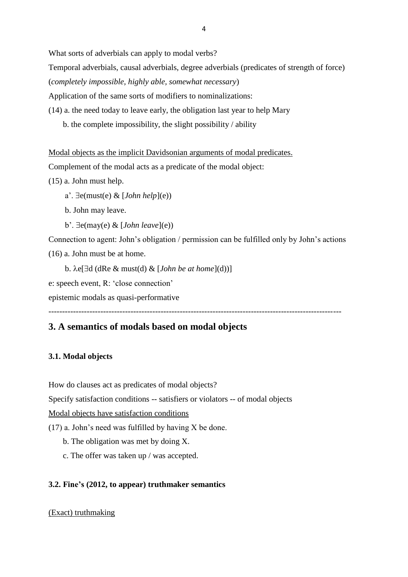What sorts of adverbials can apply to modal verbs?

Temporal adverbials, causal adverbials, degree adverbials (predicates of strength of force)

(*completely impossible, highly able, somewhat necessary*)

Application of the same sorts of modifiers to nominalizations:

- (14) a. the need today to leave early, the obligation last year to help Mary
	- b. the complete impossibility, the slight possibility / ability

Modal objects as the implicit Davidsonian arguments of modal predicates.

Complement of the modal acts as a predicate of the modal object:

(15) a. John must help.

a'.  $\exists$ e(must(e) & [*John help*](e))

- b. John may leave.
- $b'. \exists e(\text{may}(e) \& [John \text{ leave}](e))$

Connection to agent: John's obligation / permission can be fulfilled only by John's actions (16) a. John must be at home.

b.  $\lambda e[\exists d \, (dRe \& must(d) \& [John be at home](d))]$ 

e: speech event, R: 'close connection'

epistemic modals as quasi-performative

-----------------------------------------------------------------------------------------------------------

## **3. A semantics of modals based on modal objects**

### **3.1. Modal objects**

How do clauses act as predicates of modal objects?

Specify satisfaction conditions -- satisfiers or violators -- of modal objects

Modal objects have satisfaction conditions

 $(17)$  a. John's need was fulfilled by having X be done.

- b. The obligation was met by doing X.
- c. The offer was taken up / was accepted.

### **3.2. Fine's (2012, to appear) truthmaker semantics**

### (Exact) truthmaking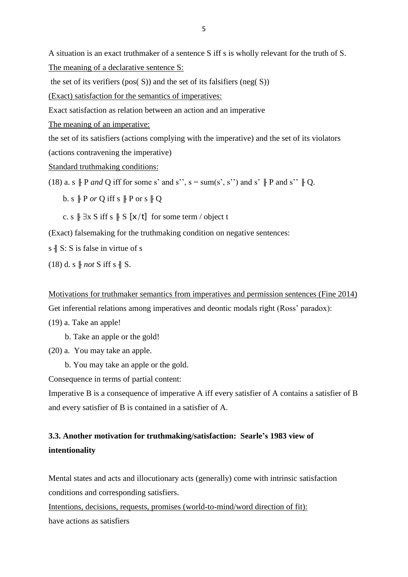A situation is an exact truthmaker of a sentence S iff s is wholly relevant for the truth of S. The meaning of a declarative sentence S:

the set of its verifiers (pos( $S$ )) and the set of its falsifiers (neg( $S$ ))

(Exact) satisfaction for the semantics of imperatives:

Exact satisfaction as relation between an action and an imperative

The meaning of an imperative:

the set of its satisfiers (actions complying with the imperative) and the set of its violators (actions contravening the imperative)

Standard truthmaking conditions:

(18) a. s  $\parallel$  P *and* Q iff for some s' and s'', s = sum(s', s'') and s'  $\parallel$  P and s''  $\parallel$  Q.

b. s  $\Vert P$  *or* Q iff s  $\Vert P$  or s  $\Vert Q$ 

c. s  $\parallel \exists x \, S$  iff s  $\parallel S [\times/t]$  for some term / object t

(Exact) falsemaking for the truthmaking condition on negative sentences:

s  $\parallel$  S: S is false in virtue of s

 $(18)$  d. s  $\parallel$  *not* S iff s  $\parallel$  S.

Motivations for truthmaker semantics from imperatives and permission sentences (Fine 2014) Get inferential relations among imperatives and deontic modals right (Ross' paradox):

- (19) a. Take an apple!
	- b. Take an apple or the gold!
- (20) a. You may take an apple.
	- b. You may take an apple or the gold.

Consequence in terms of partial content:

Imperative B is a consequence of imperative A iff every satisfier of A contains a satisfier of B and every satisfier of B is contained in a satisfier of A.

## **3.3. Another motivation for truthmaking/satisfaction: Searle's 1983 view of intentionality**

Mental states and acts and illocutionary acts (generally) come with intrinsic satisfaction conditions and corresponding satisfiers.

Intentions, decisions, requests, promises (world-to-mind/word direction of fit): have actions as satisfiers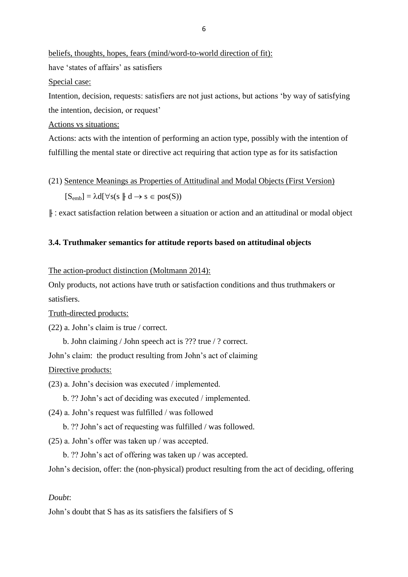beliefs, thoughts, hopes, fears (mind/word-to-world direction of fit): have 'states of affairs' as satisfiers

Special case:

Intention, decision, requests: satisfiers are not just actions, but actions 'by way of satisfying the intention, decision, or request'

Actions vs situations:

Actions: acts with the intention of performing an action type, possibly with the intention of fulfilling the mental state or directive act requiring that action type as for its satisfaction

(21) Sentence Meanings as Properties of Attitudinal and Modal Objects (First Version)  $[S_{emb}] = \lambda d[\forall s(s \parallel d \rightarrow s \in pos(S))$ 

╟ : exact satisfaction relation between a situation or action and an attitudinal or modal object

## **3.4. Truthmaker semantics for attitude reports based on attitudinal objects**

The action-product distinction (Moltmann 2014):

Only products, not actions have truth or satisfaction conditions and thus truthmakers or satisfiers.

Truth-directed products:

(22) a. John's claim is true / correct.

b. John claiming / John speech act is ??? true / ? correct.

John's claim: the product resulting from John's act of claiming

Directive products:

(23) a. John's decision was executed / implemented.

b. ?? John's act of deciding was executed / implemented.

(24) a. John's request was fulfilled / was followed

b. ?? John's act of requesting was fulfilled / was followed.

(25) a. John's offer was taken up / was accepted.

b. ?? John's act of offering was taken up / was accepted.

John's decision, offer: the (non-physical) product resulting from the act of deciding, offering

### *Doubt*:

John's doubt that S has as its satisfiers the falsifiers of S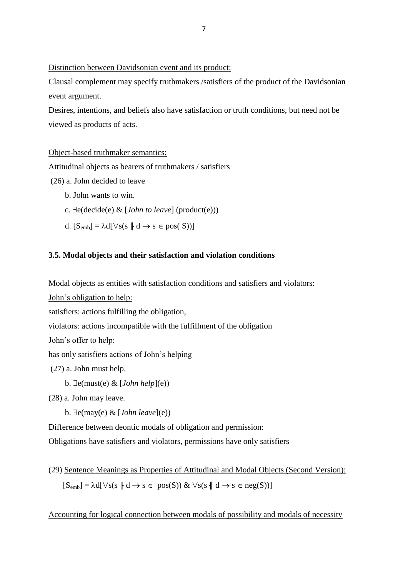Distinction between Davidsonian event and its product:

Clausal complement may specify truthmakers /satisfiers of the product of the Davidsonian event argument.

Desires, intentions, and beliefs also have satisfaction or truth conditions, but need not be viewed as products of acts.

### Object-based truthmaker semantics:

Attitudinal objects as bearers of truthmakers / satisfiers

(26) a. John decided to leave

- b. John wants to win.
- c.  $\exists$ e(decide(e) & [*John to leave*] (product(e)))
- d.  $[S_{emb}] = \lambda d[\forall s(s \parallel d \rightarrow s \in pos(S))]$

#### **3.5. Modal objects and their satisfaction and violation conditions**

Modal objects as entities with satisfaction conditions and satisfiers and violators:

John's obligation to help:

satisfiers: actions fulfilling the obligation,

violators: actions incompatible with the fulfillment of the obligation

```
John's offer to help:
```
has only satisfiers actions of John's helping

(27) a. John must help.

b.  $\exists$ e(must(e) & [*John help*](e))

(28) a. John may leave.

b.  $\exists e(\text{may}(e) \& [John\text{ leave}](e))$ 

Difference between deontic modals of obligation and permission:

Obligations have satisfiers and violators, permissions have only satisfiers

(29) Sentence Meanings as Properties of Attitudinal and Modal Objects (Second Version):  $[S_{emb}] = \lambda d[\forall s(s \parallel d \rightarrow s \in pos(S)) \& \forall s(s \parallel d \rightarrow s \in neg(S))]$ 

Accounting for logical connection between modals of possibility and modals of necessity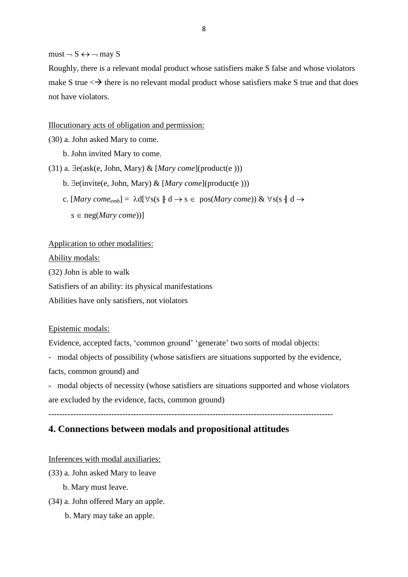$must \neg S \leftrightarrow \neg$  may S

Roughly, there is a relevant modal product whose satisfiers make S false and whose violators make S true  $\langle \rightarrow \rangle$  there is no relevant modal product whose satisfiers make S true and that does not have violators.

Illocutionary acts of obligation and permission:

- (30) a. John asked Mary to come.
	- b. John invited Mary to come.

(31) a.  $\exists$ e(ask(e, John, Mary) & [*Mary come*](product(e )))

- b.  $\exists$ e(invite(e, John, Mary) & [*Mary come*](product(e)))
- c.  $[Mary \; come_{emb}] = \lambda d[\forall s(s \parallel d \rightarrow s \in pos(Mary \; come)) \& \forall s(s \parallel d \rightarrow s)$ 
	- $s \in neg(Mary \; come)$ ]

#### Application to other modalities:

Ability modals:

(32) John is able to walk

Satisfiers of an ability: its physical manifestations

Abilities have only satisfiers, not violators

#### Epistemic modals:

Evidence, accepted facts, 'common ground' 'generate' two sorts of modal objects:

- modal objects of possibility (whose satisfiers are situations supported by the evidence,

facts, common ground) and

- modal objects of necessity (whose satisfiers are situations supported and whose violators are excluded by the evidence, facts, common ground)

--------------------------------------------------------------------------------------------------------

### **4. Connections between modals and propositional attitudes**

Inferences with modal auxiliaries:

- (33) a. John asked Mary to leave
	- b. Mary must leave.
- (34) a. John offered Mary an apple.
	- b. Mary may take an apple.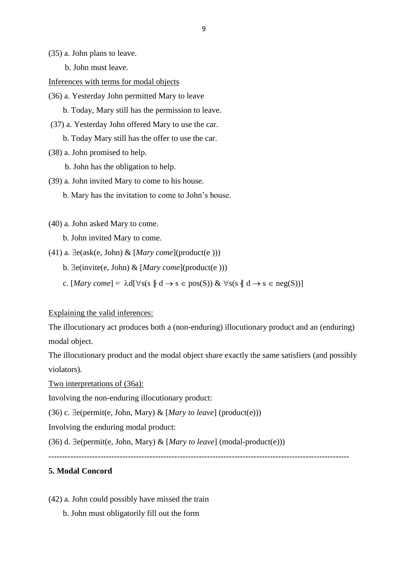(35) a. John plans to leave.

b. John must leave.

#### Inferences with terms for modal objects

(36) a. Yesterday John permitted Mary to leave

b. Today, Mary still has the permission to leave.

(37) a. Yesterday John offered Mary to use the car.

b. Today Mary still has the offer to use the car.

(38) a. John promised to help.

b. John has the obligation to help.

- (39) a. John invited Mary to come to his house.
	- b. Mary has the invitation to come to John's house.
- (40) a. John asked Mary to come.
	- b. John invited Mary to come.
- (41) a.  $\exists$ e(ask(e, John) & [*Mary come*](product(e )))
	- b.  $\exists$ e(invite(e, John) & [*Mary come*](product(e )))
	- c.  $[Mary \; come] = \lambda d[\forall s(s \parallel d \rightarrow s \in pos(S)) \& \forall s(s \parallel d \rightarrow s \in neg(S))]$

Explaining the valid inferences:

The illocutionary act produces both a (non-enduring) illocutionary product and an (enduring) modal object.

The illocutionary product and the modal object share exactly the same satisfiers (and possibly violators).

Two interpretations of (36a):

Involving the non-enduring illocutionary product:

(36) c.  $\exists$ e(permit(e, John, Mary) & [*Mary to leave*] (product(e)))

Involving the enduring modal product:

(36) d.  $\exists$ e(permit(e, John, Mary) & [*Mary to leave*] (modal-product(e)))

--------------------------------------------------------------------------------------------------------------

## **5. Modal Concord**

(42) a. John could possibly have missed the train

b. John must obligatorily fill out the form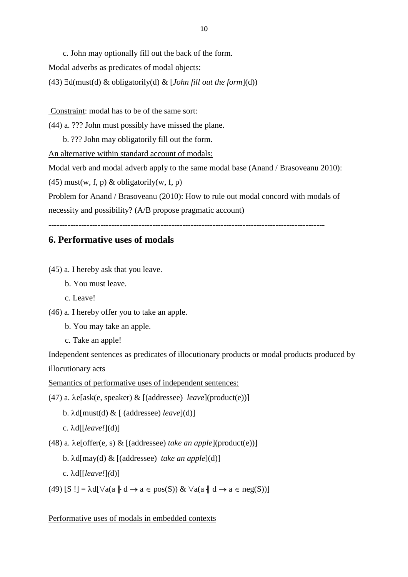c. John may optionally fill out the back of the form.

Modal adverbs as predicates of modal objects:

(43)  $\exists d(must(d) \& obligatorily(d) \& [John fill out the form](d))$ 

Constraint: modal has to be of the same sort:

(44) a. ??? John must possibly have missed the plane.

b. ??? John may obligatorily fill out the form.

An alternative within standard account of modals:

Modal verb and modal adverb apply to the same modal base (Anand / Brasoveanu 2010):

 $(45)$  must(w, f, p) & obligatorily(w, f, p)

Problem for Anand / Brasoveanu (2010): How to rule out modal concord with modals of

necessity and possibility? (A/B propose pragmatic account)

**-----------------------------------------------------------------------------------------------------**

## **6. Performative uses of modals**

(45) a. I hereby ask that you leave.

- b. You must leave.
- c. Leave!
- (46) a. I hereby offer you to take an apple.
	- b. You may take an apple.
	- c. Take an apple!

Independent sentences as predicates of illocutionary products or modal products produced by illocutionary acts

Semantics of performative uses of independent sentences:

(47) a.  $\lambda$ e[ask(e, speaker)  $\&$  [(addressee) *leave*](product(e))]

b. d[must(d) & [ (addressee) *leave*](d)]

```
 c. d[[leave!](d)]
```
(48) a.  $\lambda$ e[offer(e, s) & [(addressee) *take an apple*](product(e))]

b. d[may(d) & [(addressee) *take an apple*](d)]

c. d[[*leave!*]*(*d)]

(49)  $[S!] = \lambda d[\forall a(a \nvert d \rightarrow a \in pos(S)) \& \forall a(a \nvert d \rightarrow a \in neg(S))]$ 

Performative uses of modals in embedded contexts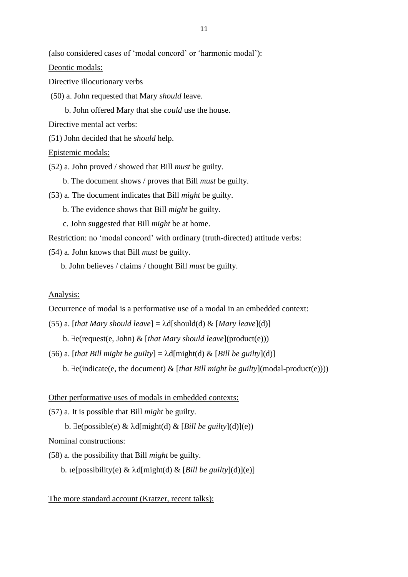(also considered cases of 'modal concord' or 'harmonic modal'):

Deontic modals:

Directive illocutionary verbs

(50) a. John requested that Mary *should* leave.

b. John offered Mary that she *could* use the house.

Directive mental act verbs:

(51) John decided that he *should* help.

Epistemic modals:

(52) a. John proved / showed that Bill *must* be guilty.

- b. The document shows / proves that Bill *must* be guilty.
- (53) a. The document indicates that Bill *might* be guilty.
	- b. The evidence shows that Bill *might* be guilty.
	- c. John suggested that Bill *might* be at home.

Restriction: no 'modal concord' with ordinary (truth-directed) attitude verbs:

(54) a. John knows that Bill *must* be guilty.

b. John believes / claims / thought Bill *must* be guilty.

#### Analysis:

Occurrence of modal is a performative use of a modal in an embedded context:

- (55) a. [*that Mary should leave*] =  $\lambda$ d[should(d) & [*Mary leave*](d)]
	- b.  $\exists$ e(request(e, John) & [*that Mary should leave*](product(e)))
- (56) a. [*that Bill might be guilty*] =  $\lambda$ d[might(d) & [*Bill be guilty*](d)]
	- b.  $\exists$ e(indicate(e, the document)  $\&$  [*that Bill might be guilty*](modal-product(e))))

#### Other performative uses of modals in embedded contexts:

- (57) a. It is possible that Bill *might* be guilty.
	- b.  $\exists$ e(possible(e) &  $\lambda$ d[might(d) & [*Bill be guilty*](d)](e))

Nominal constructions:

(58) a. the possibility that Bill *might* be guilty.

b.  $e[possibility(e) \& \lambda d[might(d) \& [Bill be guilty](d)](e)]$ 

#### The more standard account (Kratzer, recent talks):